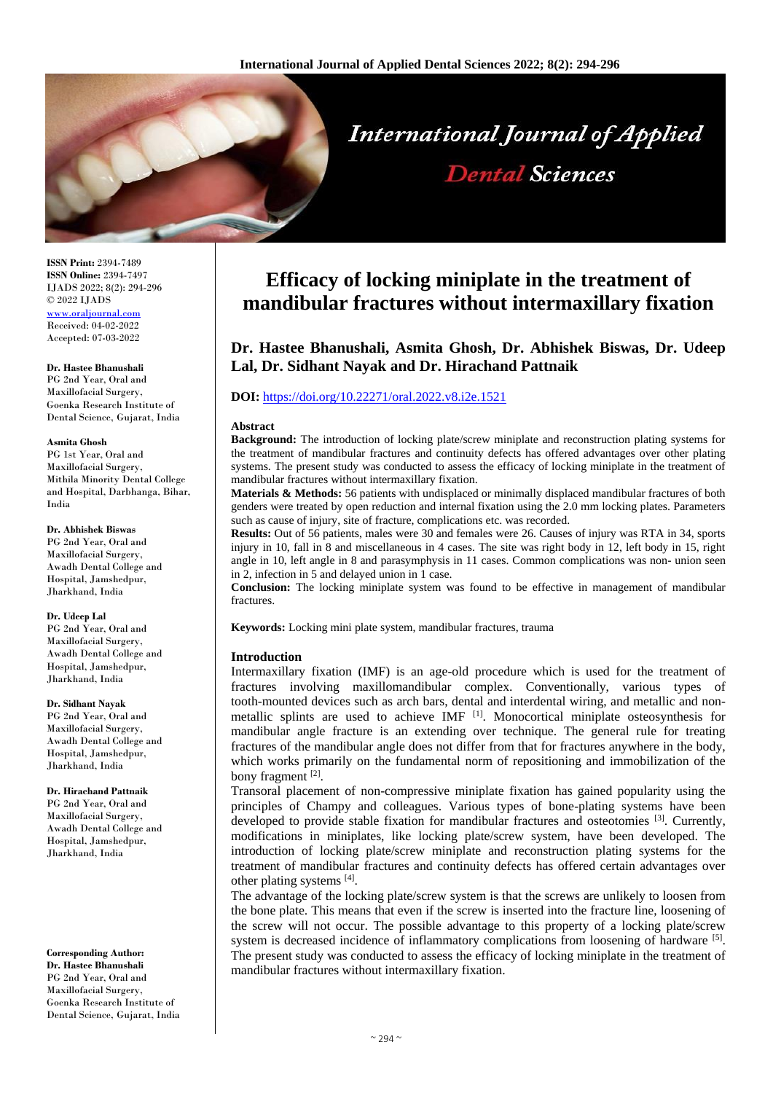

**ISSN Print:** 2394-7489 **ISSN Online:** 2394-7497 IJADS 2022; 8(2): 294-296 © 2022 IJADS [www.oraljournal.com](http://www.oraljournal.com/) Received: 04-02-2022 Accepted: 07-03-2022

#### **Dr. Hastee Bhanushali**

PG 2nd Year, Oral and Maxillofacial Surgery, Goenka Research Institute of Dental Science, Gujarat, India

#### **Asmita Ghosh**

PG 1st Year, Oral and Maxillofacial Surgery, Mithila Minority Dental College and Hospital, Darbhanga, Bihar, India

### **Dr. Abhishek Biswas**

PG 2nd Year, Oral and Maxillofacial Surgery, Awadh Dental College and Hospital, Jamshedpur, Jharkhand, India

#### **Dr. Udeep Lal**

PG 2nd Year, Oral and Maxillofacial Surgery, Awadh Dental College and Hospital, Jamshedpur, Jharkhand, India

### **Dr. Sidhant Nayak**

PG 2nd Year, Oral and Maxillofacial Surgery, Awadh Dental College and Hospital, Jamshedpur, Jharkhand, India

### **Dr. Hirachand Pattnaik**

PG 2nd Year, Oral and Maxillofacial Surgery, Awadh Dental College and Hospital, Jamshedpur, Jharkhand, India

### **Corresponding Author:**

**Dr. Hastee Bhanushali** PG 2nd Year, Oral and Maxillofacial Surgery, Goenka Research Institute of Dental Science, Gujarat, India

# **Efficacy of locking miniplate in the treatment of mandibular fractures without intermaxillary fixation**

# **Dr. Hastee Bhanushali, Asmita Ghosh, Dr. Abhishek Biswas, Dr. Udeep Lal, Dr. Sidhant Nayak and Dr. Hirachand Pattnaik**

# **DOI:** <https://doi.org/10.22271/oral.2022.v8.i2e.1521>

### **Abstract**

**Background:** The introduction of locking plate/screw miniplate and reconstruction plating systems for the treatment of mandibular fractures and continuity defects has offered advantages over other plating systems. The present study was conducted to assess the efficacy of locking miniplate in the treatment of mandibular fractures without intermaxillary fixation.

**Materials & Methods:** 56 patients with undisplaced or minimally displaced mandibular fractures of both genders were treated by open reduction and internal fixation using the 2.0 mm locking plates. Parameters such as cause of injury, site of fracture, complications etc. was recorded.

**Results:** Out of 56 patients, males were 30 and females were 26. Causes of injury was RTA in 34, sports injury in 10, fall in 8 and miscellaneous in 4 cases. The site was right body in 12, left body in 15, right angle in 10, left angle in 8 and parasymphysis in 11 cases. Common complications was non- union seen in 2, infection in 5 and delayed union in 1 case.

**Conclusion:** The locking miniplate system was found to be effective in management of mandibular fractures.

**Keywords:** Locking mini plate system, mandibular fractures, trauma

# **Introduction**

Intermaxillary fixation (IMF) is an age-old procedure which is used for the treatment of fractures involving maxillomandibular complex. Conventionally, various types of tooth-mounted devices such as arch bars, dental and interdental wiring, and metallic and nonmetallic splints are used to achieve IMF  $^{[1]}$ . Monocortical miniplate osteosynthesis for mandibular angle fracture is an extending over technique. The general rule for treating fractures of the mandibular angle does not differ from that for fractures anywhere in the body, which works primarily on the fundamental norm of repositioning and immobilization of the bony fragment [2].

Transoral placement of non-compressive miniplate fixation has gained popularity using the principles of Champy and colleagues. Various types of bone-plating systems have been developed to provide stable fixation for mandibular fractures and osteotomies  $[3]$ . Currently, modifications in miniplates, like locking plate/screw system, have been developed. The introduction of locking plate/screw miniplate and reconstruction plating systems for the treatment of mandibular fractures and continuity defects has offered certain advantages over other plating systems [4].

The advantage of the locking plate/screw system is that the screws are unlikely to loosen from the bone plate. This means that even if the screw is inserted into the fracture line, loosening of the screw will not occur. The possible advantage to this property of a locking plate/screw system is decreased incidence of inflammatory complications from loosening of hardware  $[5]$ . The present study was conducted to assess the efficacy of locking miniplate in the treatment of mandibular fractures without intermaxillary fixation.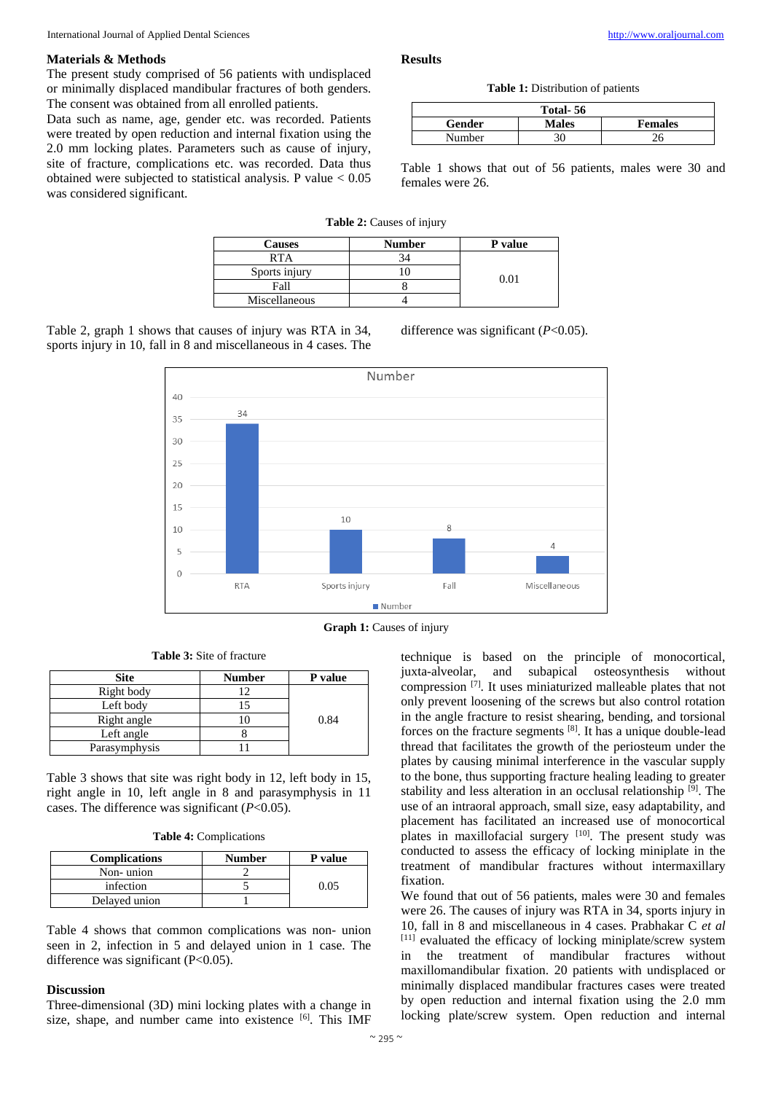# **Materials & Methods**

The present study comprised of 56 patients with undisplaced or minimally displaced mandibular fractures of both genders. The consent was obtained from all enrolled patients.

Data such as name, age, gender etc. was recorded. Patients were treated by open reduction and internal fixation using the 2.0 mm locking plates. Parameters such as cause of injury, site of fracture, complications etc. was recorded. Data thus obtained were subjected to statistical analysis. P value < 0.05 was considered significant.

# **Results**

**Table 1:** Distribution of patients

| Total-56 |              |                |  |
|----------|--------------|----------------|--|
| Gender   | <b>Males</b> | <b>Females</b> |  |
| Number   | 30           |                |  |

Table 1 shows that out of 56 patients, males were 30 and females were 26.

**Table 2:** Causes of injury

| <b>Causes</b> | <b>Number</b> | P value |
|---------------|---------------|---------|
| RTA           |               | 0.01    |
| Sports injury |               |         |
| Fall          |               |         |
| Miscellaneous |               |         |

Table 2, graph 1 shows that causes of injury was RTA in 34, sports injury in 10, fall in 8 and miscellaneous in 4 cases. The difference was significant (*P*<0.05).



**Graph 1:** Causes of injury

| <b>Site</b>   | <b>Number</b> | P value |
|---------------|---------------|---------|
| Right body    | ר ו           |         |
| Left body     |               |         |
| Right angle   |               | 0.84    |
| Left angle    |               |         |
| Parasymphysis |               |         |

**Table 3:** Site of fracture

Table 3 shows that site was right body in 12, left body in 15, right angle in 10, left angle in 8 and parasymphysis in 11 cases. The difference was significant (*P*<0.05).

| <b>Table 4: Complications</b> |  |  |
|-------------------------------|--|--|
|-------------------------------|--|--|

| <b>Complications</b> | <b>Number</b> | P value |
|----------------------|---------------|---------|
| Non-union            |               |         |
| infection            |               | 0.05    |
| Delayed union        |               |         |

Table 4 shows that common complications was non- union seen in 2, infection in 5 and delayed union in 1 case. The difference was significant  $(P<0.05)$ .

# **Discussion**

Three-dimensional (3D) mini locking plates with a change in size, shape, and number came into existence [6]. This IMF technique is based on the principle of monocortical, juxta-alveolar, and subapical osteosynthesis without compression [7] . It uses miniaturized malleable plates that not only prevent loosening of the screws but also control rotation in the angle fracture to resist shearing, bending, and torsional forces on the fracture segments [8] . It has a unique double-lead thread that facilitates the growth of the periosteum under the plates by causing minimal interference in the vascular supply to the bone, thus supporting fracture healing leading to greater stability and less alteration in an occlusal relationship [9]. The use of an intraoral approach, small size, easy adaptability, and placement has facilitated an increased use of monocortical plates in maxillofacial surgery [10]. The present study was conducted to assess the efficacy of locking miniplate in the treatment of mandibular fractures without intermaxillary fixation.

We found that out of 56 patients, males were 30 and females were 26. The causes of injury was RTA in 34, sports injury in 10, fall in 8 and miscellaneous in 4 cases. Prabhakar C *et al* [11] evaluated the efficacy of locking miniplate/screw system in the treatment of mandibular fractures without maxillomandibular fixation. 20 patients with undisplaced or minimally displaced mandibular fractures cases were treated by open reduction and internal fixation using the 2.0 mm locking plate/screw system. Open reduction and internal